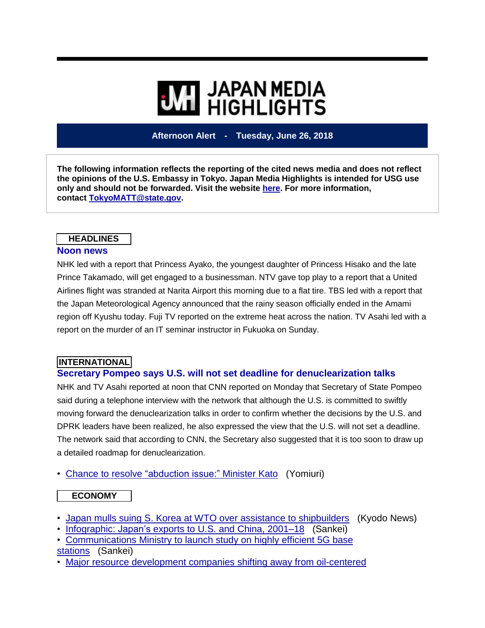# **WIL HIGHLIGHTS**

**Afternoon Alert - Tuesday, June 26, 2018**

**The following information reflects the reporting of the cited news media and does not reflect the opinions of the U.S. Embassy in Tokyo. Japan Media Highlights is intended for USG use only and should not be forwarded. Visit the website [here.](https://jmh.usembassy.gov/) For more information, contact [TokyoMATT@state.gov.](mailto:TokyoMATT@state.gov)**

#### **HEADLINES**

#### **Noon news**

NHK led with a report that Princess Ayako, the youngest daughter of Princess Hisako and the late Prince Takamado, will get engaged to a businessman. NTV gave top play to a report that a United Airlines flight was stranded at Narita Airport this morning due to a flat tire. TBS led with a report that the Japan Meteorological Agency announced that the rainy season officially ended in the Amami region off Kyushu today. Fuji TV reported on the extreme heat across the nation. TV Asahi led with a report on the murder of an IT seminar instructor in Fukuoka on Sunday.

#### **INTERNATIONAL**

#### **Secretary Pompeo says U.S. will not set deadline for denuclearization talks**

NHK and TV Asahi reported at noon that CNN reported on Monday that Secretary of State Pompeo said during a telephone interview with the network that although the U.S. is committed to swiftly moving forward the denuclearization talks in order to confirm whether the decisions by the U.S. and DPRK leaders have been realized, he also expressed the view that the U.S. will not set a deadline. The network said that according to CNN, the Secretary also suggested that it is too soon to draw up a detailed roadmap for denuclearization.

• Chance to resolve ["abduction](https://jmh.usembassy.gov/20180626107466/) issue:" Minister Kato (Yomiuri)

#### **ECONOMY**

- Japan mulls suing S. Korea at WTO over assistance to [shipbuilders](https://jmh.usembassy.gov/20180626107420/) (Kyodo News)
- [Infographic:](https://jmh.usembassy.gov/20180626107444/) Japan's exports to U.S. and China, 2001–18 (Sankei)

• [Communications](https://jmh.usembassy.gov/20180626107440/) Ministry to launch study on highly efficient 5G base

- [stations](https://jmh.usembassy.gov/20180626107440/) (Sankei)
- Major resource [development](https://jmh.usembassy.gov/20180626107448/) companies shifting away from oil-centered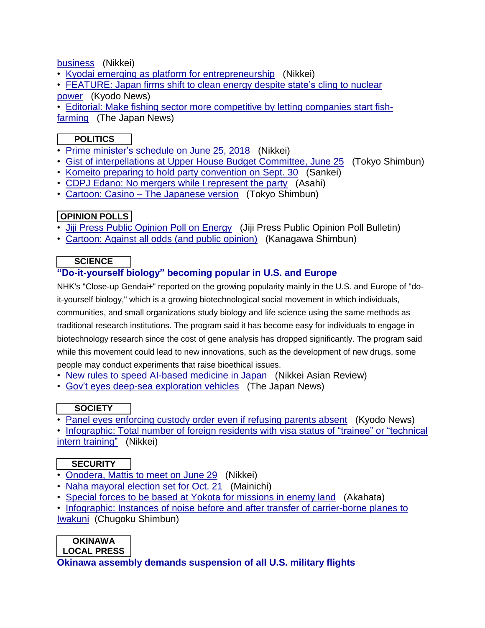[business](https://jmh.usembassy.gov/20180626107448/) (Nikkei)

- Kyodai emerging as platform for [entrepreneurship](https://jmh.usembassy.gov/20180626107478/) (Nikkei)
- [FEATURE:](https://jmh.usembassy.gov/20180626107422/) Japan firms shift to clean energy despite state's cling to nuclear [power](https://jmh.usembassy.gov/20180626107422/) (Kyodo News)
- Editorial: Make fishing sector more [competitive](https://jmh.usembassy.gov/20180626107423/) by letting companies start fish[farming](https://jmh.usembassy.gov/20180626107423/) (The Japan News)

#### **POLITICS**

- Prime [minister's](https://jmh.usembassy.gov/20180626107435/) schedule on June 25, 2018 (Nikkei)
- Gist of [interpellations](https://jmh.usembassy.gov/20180626107434/) at Upper House Budget Committee, June 25 (Tokyo Shimbun)
- Komeito preparing to hold party [convention](https://jmh.usembassy.gov/20180626107453/) on Sept. 30 (Sankei)
- CDPJ Edano: No mergers while I [represent](https://jmh.usembassy.gov/20180626107474/) the party (Asahi)
- Cartoon: Casino The [Japanese](https://jmh.usembassy.gov/20180626107455/) version (Tokyo Shimbun)

#### **OPINION POLLS**

- Jiji Press Public [Opinion](https://jmh.usembassy.gov/20180626107470/) Poll on Energy (Jiji Press Public Opinion Poll Bulletin)
- [Cartoon:](https://jmh.usembassy.gov/20180626107457/) Against all odds (and public opinion) (Kanagawa Shimbun)

#### **SCIENCE**

#### **"Do-it-yourself biology" becoming popular in U.S. and Europe**

NHK's "Close-up Gendai+" reported on the growing popularity mainly in the U.S. and Europe of "doit-yourself biology," which is a growing biotechnological social movement in which individuals, communities, and small organizations study biology and life science using the same methods as traditional research institutions. The program said it has become easy for individuals to engage in biotechnology research since the cost of gene analysis has dropped significantly. The program said while this movement could lead to new innovations, such as the development of new drugs, some people may conduct experiments that raise bioethical issues.

- New rules to speed [AI-based](https://jmh.usembassy.gov/20180626107487/) medicine in Japan (Nikkei Asian Review)
- Gov't eyes deep-sea [exploration](https://jmh.usembassy.gov/20180626107418/) vehicles (The Japan News)

#### **SOCIETY**

• Panel eyes [enforcing](https://jmh.usembassy.gov/20180626107486/) custody order even if refusing parents absent (Kyodo News)

• [Infographic:](https://jmh.usembassy.gov/20180626107442/) Total number of foreign residents with visa status of "trainee" or "technical intern [training"](https://jmh.usembassy.gov/20180626107442/) (Nikkei)

#### **SECURITY**

- [Onodera,](https://jmh.usembassy.gov/20180626107462/) Mattis to meet on June 29 (Nikkei)
- Naha [mayoral](https://jmh.usembassy.gov/20180626107446/) election set for Oct. 21 (Mainichi)
- Special forces to be based at Yokota for [missions](https://jmh.usembassy.gov/20180626107439/) in enemy land (Akahata)
- Infographic: Instances of noise before and after transfer of [carrier-borne](https://jmh.usembassy.gov/20180626107493/) planes to [Iwakuni](https://jmh.usembassy.gov/20180626107493/) (Chugoku Shimbun)

### **OKINAWA**

**LOCAL PRESS**

#### **Okinawa assembly demands suspension of all U.S. military flights**